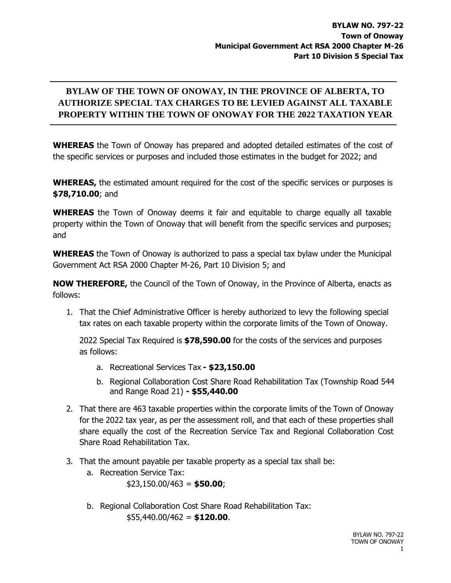## **BYLAW OF THE TOWN OF ONOWAY, IN THE PROVINCE OF ALBERTA, TO AUTHORIZE SPECIAL TAX CHARGES TO BE LEVIED AGAINST ALL TAXABLE PROPERTY WITHIN THE TOWN OF ONOWAY FOR THE 2022 TAXATION YEAR**

**WHEREAS** the Town of Onoway has prepared and adopted detailed estimates of the cost of the specific services or purposes and included those estimates in the budget for 2022; and

**WHEREAS,** the estimated amount required for the cost of the specific services or purposes is **\$78,710.00**; and

**WHEREAS** the Town of Onoway deems it fair and equitable to charge equally all taxable property within the Town of Onoway that will benefit from the specific services and purposes; and

**WHEREAS** the Town of Onoway is authorized to pass a special tax bylaw under the Municipal Government Act RSA 2000 Chapter M-26, Part 10 Division 5; and

**NOW THEREFORE,** the Council of the Town of Onoway, in the Province of Alberta, enacts as follows:

1. That the Chief Administrative Officer is hereby authorized to levy the following special tax rates on each taxable property within the corporate limits of the Town of Onoway.

2022 Special Tax Required is **\$78,590.00** for the costs of the services and purposes as follows:

- a. Recreational Services Tax **- \$23,150.00**
- b. Regional Collaboration Cost Share Road Rehabilitation Tax (Township Road 544 and Range Road 21) **- \$55,440.00**
- 2. That there are 463 taxable properties within the corporate limits of the Town of Onoway for the 2022 tax year, as per the assessment roll, and that each of these properties shall share equally the cost of the Recreation Service Tax and Regional Collaboration Cost Share Road Rehabilitation Tax.
- 3. That the amount payable per taxable property as a special tax shall be:
	- a. Recreation Service Tax:
		- \$23,150.00/463 = **\$50.00**;
	- b. Regional Collaboration Cost Share Road Rehabilitation Tax: \$55,440.00/462 = **\$120.00**.